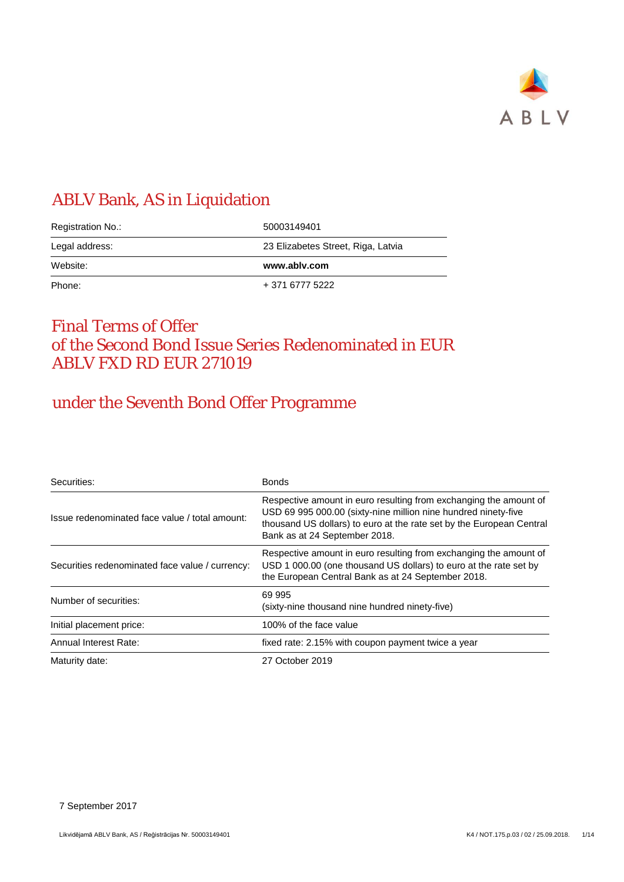

# ABLV Bank, AS in Liquidation

| Registration No.: | 50003149401                        |  |  |
|-------------------|------------------------------------|--|--|
| Legal address:    | 23 Elizabetes Street, Riga, Latvia |  |  |
| Website:          | www.ablv.com                       |  |  |
| Phone:            | + 371 6777 5222                    |  |  |

# Final Terms of Offer of the Second Bond Issue Series Redenominated in EUR ABLV FXD RD EUR 271019

# under the Seventh Bond Offer Programme

| Securities:                                     | <b>Bonds</b>                                                                                                                                                                                                                                 |
|-------------------------------------------------|----------------------------------------------------------------------------------------------------------------------------------------------------------------------------------------------------------------------------------------------|
| Issue redenominated face value / total amount:  | Respective amount in euro resulting from exchanging the amount of<br>USD 69 995 000.00 (sixty-nine million nine hundred ninety-five<br>thousand US dollars) to euro at the rate set by the European Central<br>Bank as at 24 September 2018. |
| Securities redenominated face value / currency: | Respective amount in euro resulting from exchanging the amount of<br>USD 1 000.00 (one thousand US dollars) to euro at the rate set by<br>the European Central Bank as at 24 September 2018.                                                 |
| Number of securities:                           | 69 995<br>(sixty-nine thousand nine hundred ninety-five)                                                                                                                                                                                     |
| Initial placement price:                        | 100% of the face value                                                                                                                                                                                                                       |
| Annual Interest Rate:                           | fixed rate: 2.15% with coupon payment twice a year                                                                                                                                                                                           |
| Maturity date:                                  | 27 October 2019                                                                                                                                                                                                                              |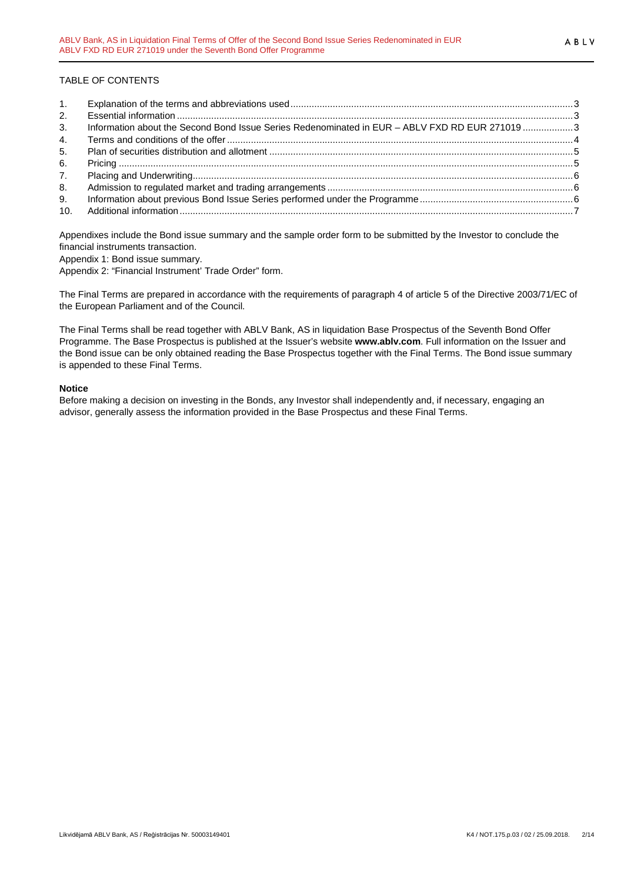## TABLE OF CONTENTS

| 2. |                                                                                                |  |
|----|------------------------------------------------------------------------------------------------|--|
| 3. | Information about the Second Bond Issue Series Redenominated in EUR - ABLV FXD RD EUR 271019 3 |  |
| 4. |                                                                                                |  |
| 5. |                                                                                                |  |
| 6. |                                                                                                |  |
| 7. |                                                                                                |  |
| 8. |                                                                                                |  |
| 9. |                                                                                                |  |
|    |                                                                                                |  |

Appendixes include the Bond issue summary and the sample order form to be submitted by the Investor to conclude the financial instruments transaction. Appendix 1: Bond issue summary.

Appendix 2: "Financial Instrument' Trade Order" form.

The Final Terms are prepared in accordance with the requirements of paragraph 4 of article 5 of the Directive 2003/71/EC of the European Parliament and of the Council.

The Final Terms shall be read together with ABLV Bank, AS in liquidation Base Prospectus of the Seventh Bond Offer Programme. The Base Prospectus is published at the Issuer's website **www.ablv.com**. Full information on the Issuer and the Bond issue can be only obtained reading the Base Prospectus together with the Final Terms. The Bond issue summary is appended to these Final Terms.

#### **Notice**

Before making a decision on investing in the Bonds, any Investor shall independently and, if necessary, engaging an advisor, generally assess the information provided in the Base Prospectus and these Final Terms.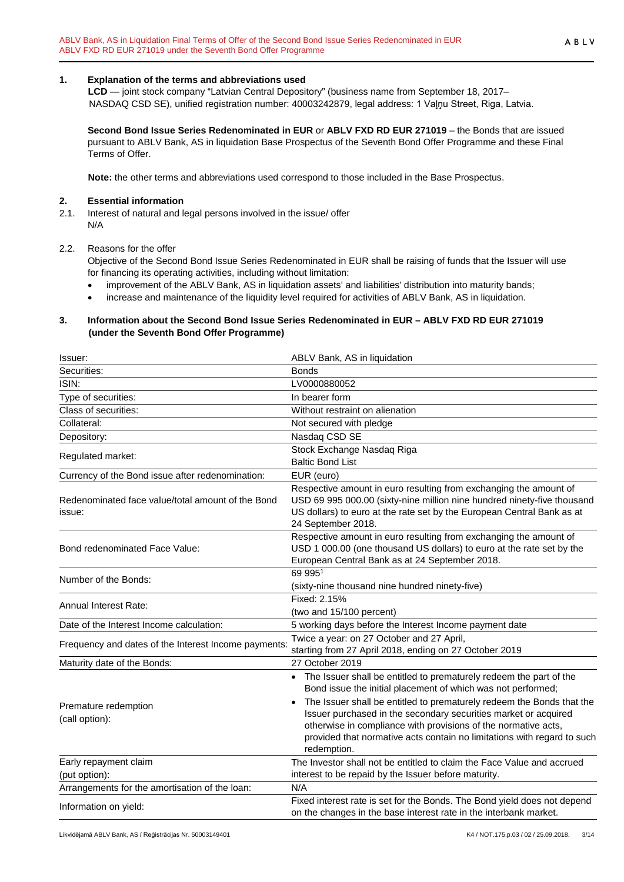#### <span id="page-2-0"></span>**1. Explanation of the terms and abbreviations used**

**LCD** — joint stock company "Latvian Central Depository" (business name from September 18, 2017– NASDAQ CSD SE), unified registration number: 40003242879, legal address: 1 Vaļņu Street, Riga, Latvia.

**Second Bond Issue Series Redenominated in EUR** or **ABLV FXD RD EUR 271019** – the Bonds that are issued pursuant to ABLV Bank, AS in liquidation Base Prospectus of the Seventh Bond Offer Programme and these Final Terms of Offer.

**Note:** the other terms and abbreviations used correspond to those included in the Base Prospectus.

#### <span id="page-2-1"></span>**2. Essential information**

2.1. Interest of natural and legal persons involved in the issue/ offer N/A

#### 2.2. Reasons for the offer

Objective of the Second Bond Issue Series Redenominated in EUR shall be raising of funds that the Issuer will use for financing its operating activities, including without limitation:

- improvement of the ABLV Bank, AS in liquidation assets' and liabilities' distribution into maturity bands;
- increase and maintenance of the liquidity level required for activities of ABLV Bank, AS in liquidation.

#### <span id="page-2-2"></span>**3. Information about the Second Bond Issue Series Redenominated in EUR – ABLV FXD RD EUR 271019 (under the Seventh Bond Offer Programme)**

| Issuer:                                                     | ABLV Bank, AS in liquidation                                                                                                                                                                                                                                                                                                                                                                                                               |
|-------------------------------------------------------------|--------------------------------------------------------------------------------------------------------------------------------------------------------------------------------------------------------------------------------------------------------------------------------------------------------------------------------------------------------------------------------------------------------------------------------------------|
| Securities:                                                 | <b>Bonds</b>                                                                                                                                                                                                                                                                                                                                                                                                                               |
| ISIN:                                                       | LV0000880052                                                                                                                                                                                                                                                                                                                                                                                                                               |
| Type of securities:                                         | In bearer form                                                                                                                                                                                                                                                                                                                                                                                                                             |
| Class of securities:                                        | Without restraint on alienation                                                                                                                                                                                                                                                                                                                                                                                                            |
| Collateral:                                                 | Not secured with pledge                                                                                                                                                                                                                                                                                                                                                                                                                    |
| Depository:                                                 | Nasdaq CSD SE                                                                                                                                                                                                                                                                                                                                                                                                                              |
| Regulated market:                                           | Stock Exchange Nasdaq Riga<br><b>Baltic Bond List</b>                                                                                                                                                                                                                                                                                                                                                                                      |
| Currency of the Bond issue after redenomination:            | EUR (euro)                                                                                                                                                                                                                                                                                                                                                                                                                                 |
| Redenominated face value/total amount of the Bond<br>issue: | Respective amount in euro resulting from exchanging the amount of<br>USD 69 995 000.00 (sixty-nine million nine hundred ninety-five thousand<br>US dollars) to euro at the rate set by the European Central Bank as at<br>24 September 2018.                                                                                                                                                                                               |
| Bond redenominated Face Value:                              | Respective amount in euro resulting from exchanging the amount of<br>USD 1 000.00 (one thousand US dollars) to euro at the rate set by the<br>European Central Bank as at 24 September 2018.                                                                                                                                                                                                                                               |
| Number of the Bonds:                                        | 69 9951<br>(sixty-nine thousand nine hundred ninety-five)                                                                                                                                                                                                                                                                                                                                                                                  |
| <b>Annual Interest Rate:</b>                                | Fixed: 2.15%<br>(two and 15/100 percent)                                                                                                                                                                                                                                                                                                                                                                                                   |
| Date of the Interest Income calculation:                    | 5 working days before the Interest Income payment date                                                                                                                                                                                                                                                                                                                                                                                     |
| Frequency and dates of the Interest Income payments         | Twice a year: on 27 October and 27 April,<br>starting from 27 April 2018, ending on 27 October 2019                                                                                                                                                                                                                                                                                                                                        |
| Maturity date of the Bonds:                                 | 27 October 2019                                                                                                                                                                                                                                                                                                                                                                                                                            |
| Premature redemption<br>(call option):                      | The Issuer shall be entitled to prematurely redeem the part of the<br>Bond issue the initial placement of which was not performed;<br>The Issuer shall be entitled to prematurely redeem the Bonds that the<br>Issuer purchased in the secondary securities market or acquired<br>otherwise in compliance with provisions of the normative acts,<br>provided that normative acts contain no limitations with regard to such<br>redemption. |
| Early repayment claim<br>(put option):                      | The Investor shall not be entitled to claim the Face Value and accrued<br>interest to be repaid by the Issuer before maturity.                                                                                                                                                                                                                                                                                                             |
| Arrangements for the amortisation of the loan:              | N/A                                                                                                                                                                                                                                                                                                                                                                                                                                        |
| Information on yield:                                       | Fixed interest rate is set for the Bonds. The Bond yield does not depend<br>on the changes in the base interest rate in the interbank market.                                                                                                                                                                                                                                                                                              |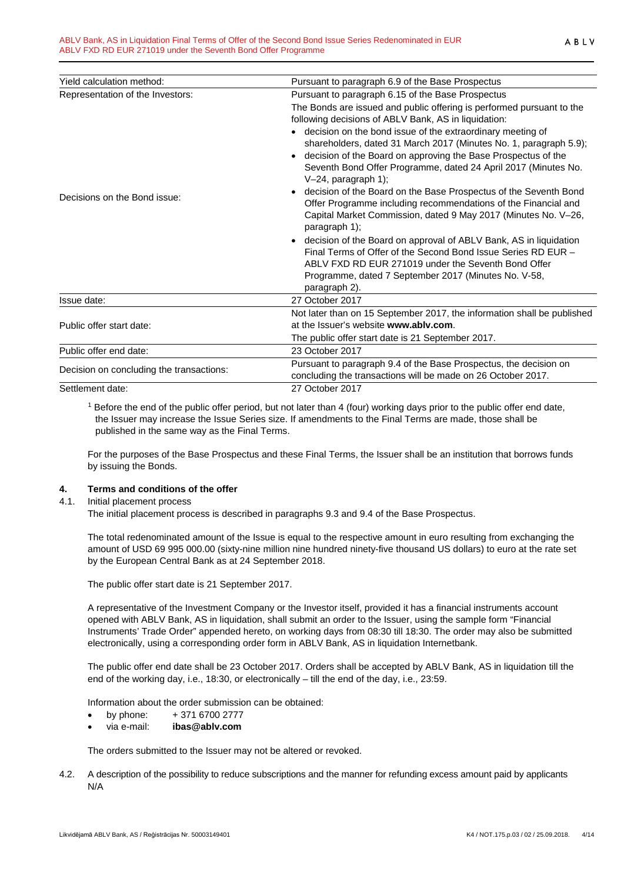| Yield calculation method:                | Pursuant to paragraph 6.9 of the Base Prospectus                                                                                                                                                                                                                                                                                                                                                                                                                                                                                                                                                                                                                    |
|------------------------------------------|---------------------------------------------------------------------------------------------------------------------------------------------------------------------------------------------------------------------------------------------------------------------------------------------------------------------------------------------------------------------------------------------------------------------------------------------------------------------------------------------------------------------------------------------------------------------------------------------------------------------------------------------------------------------|
| Representation of the Investors:         | Pursuant to paragraph 6.15 of the Base Prospectus                                                                                                                                                                                                                                                                                                                                                                                                                                                                                                                                                                                                                   |
| Decisions on the Bond issue:             | The Bonds are issued and public offering is performed pursuant to the<br>following decisions of ABLV Bank, AS in liquidation:<br>decision on the bond issue of the extraordinary meeting of<br>shareholders, dated 31 March 2017 (Minutes No. 1, paragraph 5.9);<br>decision of the Board on approving the Base Prospectus of the<br>Seventh Bond Offer Programme, dated 24 April 2017 (Minutes No.<br>$V-24$ , paragraph 1);<br>decision of the Board on the Base Prospectus of the Seventh Bond<br>$\bullet$<br>Offer Programme including recommendations of the Financial and<br>Capital Market Commission, dated 9 May 2017 (Minutes No. V-26,<br>paragraph 1); |
|                                          | decision of the Board on approval of ABLV Bank, AS in liquidation<br>$\bullet$<br>Final Terms of Offer of the Second Bond Issue Series RD EUR -<br>ABLV FXD RD EUR 271019 under the Seventh Bond Offer<br>Programme, dated 7 September 2017 (Minutes No. V-58,<br>paragraph 2).                                                                                                                                                                                                                                                                                                                                                                                     |
| Issue date:                              | 27 October 2017                                                                                                                                                                                                                                                                                                                                                                                                                                                                                                                                                                                                                                                     |
| Public offer start date:                 | Not later than on 15 September 2017, the information shall be published<br>at the Issuer's website www.ablv.com.<br>The public offer start date is 21 September 2017.                                                                                                                                                                                                                                                                                                                                                                                                                                                                                               |
| Public offer end date:                   | 23 October 2017                                                                                                                                                                                                                                                                                                                                                                                                                                                                                                                                                                                                                                                     |
| Decision on concluding the transactions: | Pursuant to paragraph 9.4 of the Base Prospectus, the decision on<br>concluding the transactions will be made on 26 October 2017.                                                                                                                                                                                                                                                                                                                                                                                                                                                                                                                                   |
| Settlement date:                         | 27 October 2017                                                                                                                                                                                                                                                                                                                                                                                                                                                                                                                                                                                                                                                     |

<sup>1</sup> Before the end of the public offer period, but not later than 4 (four) working days prior to the public offer end date, the Issuer may increase the Issue Series size. If amendments to the Final Terms are made, those shall be published in the same way as the Final Terms.

For the purposes of the Base Prospectus and these Final Terms, the Issuer shall be an institution that borrows funds by issuing the Bonds.

## <span id="page-3-0"></span>**4. Terms and conditions of the offer**

4.1. Initial placement process

The initial placement process is described in paragraphs 9.3 and 9.4 of the Base Prospectus.

The total redenominated amount of the Issue is equal to the respective amount in euro resulting from exchanging the amount of USD 69 995 000.00 (sixty-nine million nine hundred ninety-five thousand US dollars) to euro at the rate set by the European Central Bank as at 24 September 2018.

The public offer start date is 21 September 2017.

A representative of the Investment Company or the Investor itself, provided it has a financial instruments account opened with ABLV Bank, AS in liquidation, shall submit an order to the Issuer, using the sample form "Financial Instruments' Trade Order" appended hereto, on working days from 08:30 till 18:30. The order may also be submitted electronically, using a corresponding order form in ABLV Bank, AS in liquidation Internetbank.

The public offer end date shall be 23 October 2017. Orders shall be accepted by ABLV Bank, AS in liquidation till the end of the working day, i.e., 18:30, or electronically – till the end of the day, i.e., 23:59.

Information about the order submission can be obtained:

- by phone:  $+371\,6700\,2777$
- via e-mail: **ibas@ablv.com**

The orders submitted to the Issuer may not be altered or revoked.

4.2. A description of the possibility to reduce subscriptions and the manner for refunding excess amount paid by applicants N/A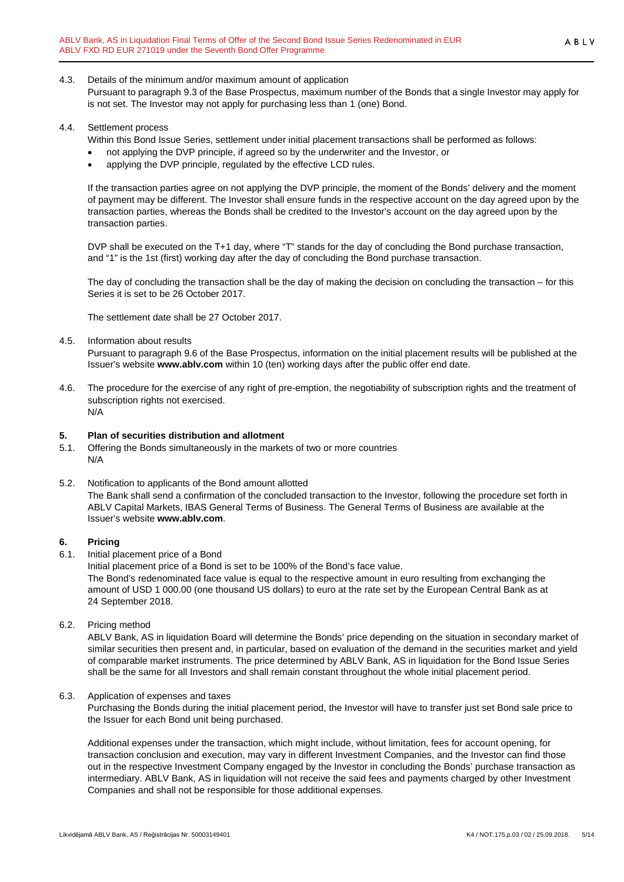### 4.3. Details of the minimum and/or maximum amount of application

Pursuant to paragraph 9.3 of the Base Prospectus, maximum number of the Bonds that a single Investor may apply for is not set. The Investor may not apply for purchasing less than 1 (one) Bond.

#### 4.4. Settlement process

- Within this Bond Issue Series, settlement under initial placement transactions shall be performed as follows:
- not applying the DVP principle, if agreed so by the underwriter and the Investor, or
- applying the DVP principle, regulated by the effective LCD rules.

If the transaction parties agree on not applying the DVP principle, the moment of the Bonds' delivery and the moment of payment may be different. The Investor shall ensure funds in the respective account on the day agreed upon by the transaction parties, whereas the Bonds shall be credited to the Investor's account on the day agreed upon by the transaction parties.

DVP shall be executed on the T+1 day, where "T" stands for the day of concluding the Bond purchase transaction, and "1" is the 1st (first) working day after the day of concluding the Bond purchase transaction.

The day of concluding the transaction shall be the day of making the decision on concluding the transaction – for this Series it is set to be 26 October 2017.

The settlement date shall be 27 October 2017.

4.5. Information about results

Pursuant to paragraph 9.6 of the Base Prospectus, information on the initial placement results will be published at the Issuer's website **www.ablv.com** within 10 (ten) working days after the public offer end date.

4.6. The procedure for the exercise of any right of pre-emption, the negotiability of subscription rights and the treatment of subscription rights not exercised. N/A

- <span id="page-4-0"></span>**5. Plan of securities distribution and allotment** 5.1. Offering the Bonds simultaneously in the markets of two or more countries N/A
- 5.2. Notification to applicants of the Bond amount allotted The Bank shall send a confirmation of the concluded transaction to the Investor, following the procedure set forth in ABLV Capital Markets, IBAS General Terms of Business. The General Terms of Business are available at the Issuer's website **[www.ablv.com](http://www.ablv.com/)**.

## <span id="page-4-1"></span>**6. Pricing**

6.1. Initial placement price of a Bond

Initial placement price of a Bond is set to be 100% of the Bond's face value. The Bond's redenominated face value is equal to the respective amount in euro resulting from exchanging the amount of USD 1 000.00 (one thousand US dollars) to euro at the rate set by the European Central Bank as at 24 September 2018.

6.2. Pricing method

ABLV Bank, AS in liquidation Board will determine the Bonds' price depending on the situation in secondary market of similar securities then present and, in particular, based on evaluation of the demand in the securities market and yield of comparable market instruments. The price determined by ABLV Bank, AS in liquidation for the Bond Issue Series shall be the same for all Investors and shall remain constant throughout the whole initial placement period.

6.3. Application of expenses and taxes

Purchasing the Bonds during the initial placement period, the Investor will have to transfer just set Bond sale price to the Issuer for each Bond unit being purchased.

Additional expenses under the transaction, which might include, without limitation, fees for account opening, for transaction conclusion and execution, may vary in different Investment Companies, and the Investor can find those out in the respective Investment Company engaged by the Investor in concluding the Bonds' purchase transaction as intermediary. ABLV Bank, AS in liquidation will not receive the said fees and payments charged by other Investment Companies and shall not be responsible for those additional expenses.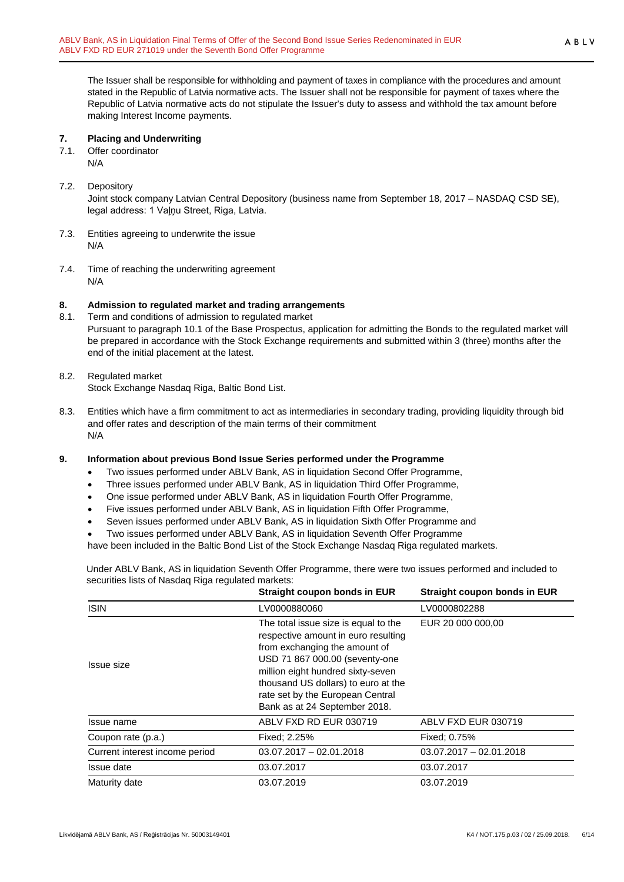The Issuer shall be responsible for withholding and payment of taxes in compliance with the procedures and amount stated in the Republic of Latvia normative acts. The Issuer shall not be responsible for payment of taxes where the Republic of Latvia normative acts do not stipulate the Issuer's duty to assess and withhold the tax amount before making Interest Income payments.

## <span id="page-5-0"></span>**7. Placing and Underwriting**

7.1. Offer coordinator N/A

## 7.2. Depository

Joint stock company Latvian Central Depository (business name from September 18, 2017 – NASDAQ CSD SE), legal address: 1 Vaļņu Street, Riga, Latvia.

- 7.3. Entities agreeing to underwrite the issue N/A
- 7.4. Time of reaching the underwriting agreement N/A

## <span id="page-5-1"></span>**8. Admission to regulated market and trading arrangements**

8.1. Term and conditions of admission to regulated market Pursuant to paragraph 10.1 of the Base Prospectus, application for admitting the Bonds to the regulated market will be prepared in accordance with the Stock Exchange requirements and submitted within 3 (three) months after the end of the initial placement at the latest.

# 8.2. Regulated market

Stock Exchange Nasdaq Riga, Baltic Bond List.

8.3. Entities which have a firm commitment to act as intermediaries in secondary trading, providing liquidity through bid and offer rates and description of the main terms of their commitment N/A

## <span id="page-5-2"></span>**9. Information about previous Bond Issue Series performed under the Programme**

- Two issues performed under ABLV Bank, AS in liquidation Second Offer Programme,
- Three issues performed under ABLV Bank, AS in liquidation Third Offer Programme,
- One issue performed under ABLV Bank, AS in liquidation Fourth Offer Programme,
- Five issues performed under ABLV Bank, AS in liquidation Fifth Offer Programme,
- Seven issues performed under ABLV Bank, AS in liquidation Sixth Offer Programme and
- Two issues performed under ABLV Bank, AS in liquidation Seventh Offer Programme
- have been included in the Baltic Bond List of the Stock Exchange Nasdaq Riga regulated markets.

Under ABLV Bank, AS in liquidation Seventh Offer Programme, there were two issues performed and included to securities lists of Nasdaq Riga regulated markets:

|                                | Straight coupon bonds in EUR                                                                                                                                                                                                                                                                    | Straight coupon bonds in EUR |
|--------------------------------|-------------------------------------------------------------------------------------------------------------------------------------------------------------------------------------------------------------------------------------------------------------------------------------------------|------------------------------|
| <b>ISIN</b>                    | LV0000880060                                                                                                                                                                                                                                                                                    | LV0000802288                 |
| <b>Issue size</b>              | The total issue size is equal to the<br>respective amount in euro resulting<br>from exchanging the amount of<br>USD 71 867 000.00 (seventy-one<br>million eight hundred sixty-seven<br>thousand US dollars) to euro at the<br>rate set by the European Central<br>Bank as at 24 September 2018. | EUR 20 000 000,00            |
| Issue name                     | ABLV FXD RD EUR 030719                                                                                                                                                                                                                                                                          | ABLV FXD EUR 030719          |
| Coupon rate (p.a.)             | Fixed: 2.25%                                                                                                                                                                                                                                                                                    | Fixed: 0.75%                 |
| Current interest income period | $03.07.2017 - 02.01.2018$                                                                                                                                                                                                                                                                       | $03.07.2017 - 02.01.2018$    |
| Issue date                     | 03.07.2017                                                                                                                                                                                                                                                                                      | 03.07.2017                   |
| Maturity date                  | 03.07.2019                                                                                                                                                                                                                                                                                      | 03.07.2019                   |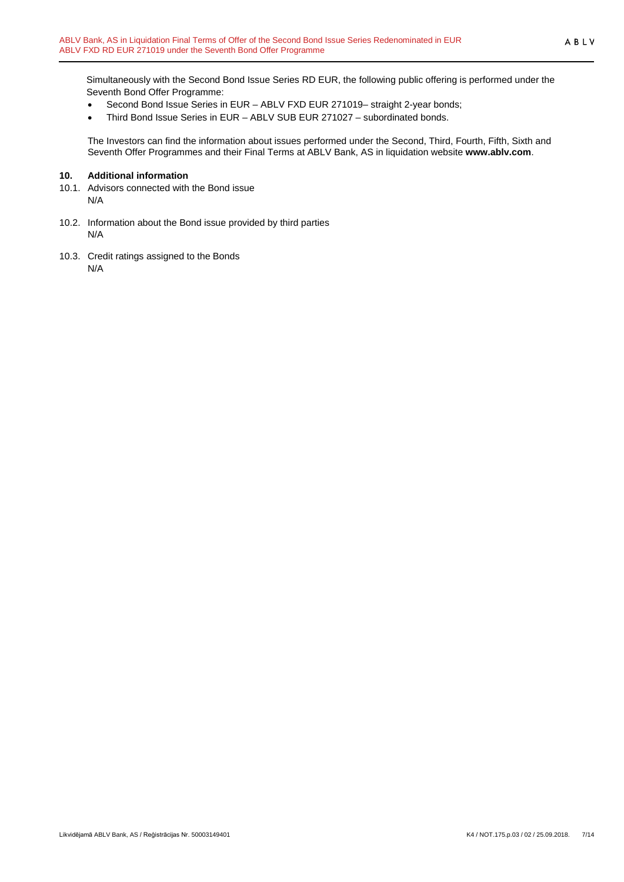Simultaneously with the Second Bond Issue Series RD EUR, the following public offering is performed under the Seventh Bond Offer Programme:

- Second Bond Issue Series in EUR ABLV FXD EUR 271019– straight 2-year bonds;
- Third Bond Issue Series in EUR ABLV SUB EUR 271027 subordinated bonds.

The Investors can find the information about issues performed under the Second, Third, Fourth, Fifth, Sixth and Seventh Offer Programmes and their Final Terms at ABLV Bank, AS in liquidation website **[www.ablv.com](http://www.ablv.com/)**.

#### <span id="page-6-0"></span>**10. Additional information**

- 10.1. Advisors connected with the Bond issue N/A
- 10.2. Information about the Bond issue provided by third parties N/A
- 10.3. Credit ratings assigned to the Bonds N/A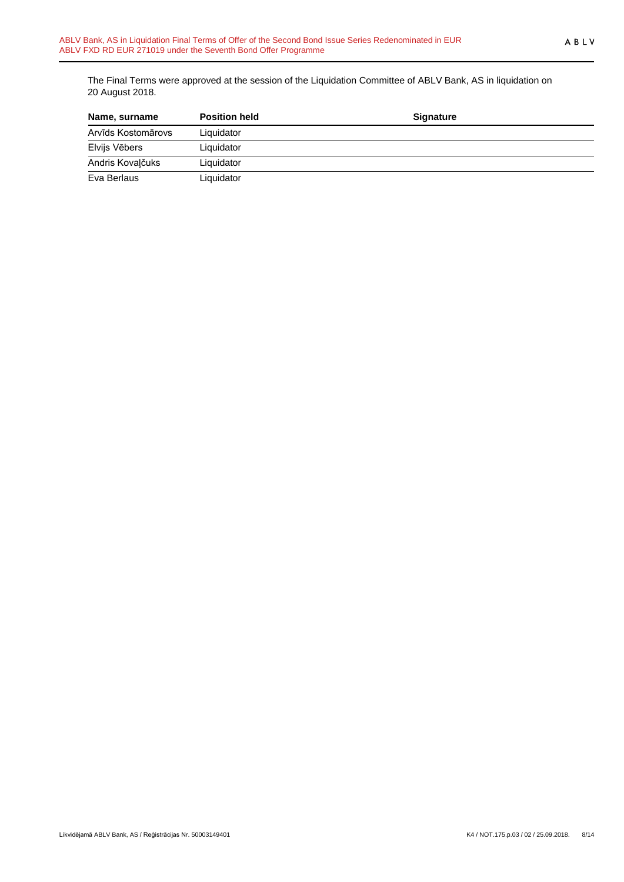The Final Terms were approved at the session of the Liquidation Committee of ABLV Bank, AS in liquidation on 20 August 2018.

| Name, surname      | <b>Position held</b> | <b>Signature</b> |  |
|--------------------|----------------------|------------------|--|
| Arvīds Kostomārovs | Liquidator           |                  |  |
| Elvijs Vēbers      | Liquidator           |                  |  |
| Andris Kovalčuks   | Liquidator           |                  |  |
| Eva Berlaus        | Liquidator           |                  |  |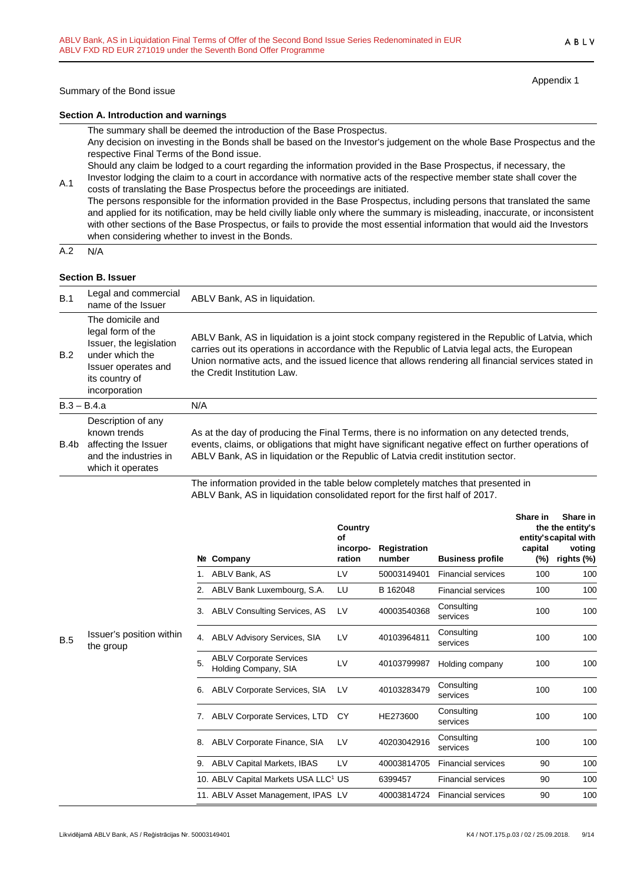Appendix 1

#### **Section A. Introduction and warnings**

The summary shall be deemed the introduction of the Base Prospectus.

Any decision on investing in the Bonds shall be based on the Investor's judgement on the whole Base Prospectus and the respective Final Terms of the Bond issue.

Should any claim be lodged to a court regarding the information provided in the Base Prospectus, if necessary, the Investor lodging the claim to a court in accordance with normative acts of the respective member state shall cover the

A.1 costs of translating the Base Prospectus before the proceedings are initiated. The persons responsible for the information provided in the Base Prospectus, including persons that translated the same and applied for its notification, may be held civilly liable only where the summary is misleading, inaccurate, or inconsistent with other sections of the Base Prospectus, or fails to provide the most essential information that would aid the Investors when considering whether to invest in the Bonds.

 $A.2 N/A$ 

#### **Section B. Issuer**

| B.1  | Legal and commercial<br>name of the Issuer                                                                                                    | ABLV Bank, AS in liquidation.                                                                                                                                                                                                                                                                                                            |
|------|-----------------------------------------------------------------------------------------------------------------------------------------------|------------------------------------------------------------------------------------------------------------------------------------------------------------------------------------------------------------------------------------------------------------------------------------------------------------------------------------------|
| B.2  | The domicile and<br>legal form of the<br>Issuer, the legislation<br>under which the<br>Issuer operates and<br>its country of<br>incorporation | ABLV Bank, AS in liquidation is a joint stock company registered in the Republic of Latvia, which<br>carries out its operations in accordance with the Republic of Latvia legal acts, the European<br>Union normative acts, and the issued licence that allows rendering all financial services stated in<br>the Credit Institution Law. |
|      | $B.3 - B.4.a$                                                                                                                                 | N/A                                                                                                                                                                                                                                                                                                                                      |
| B.4b | Description of any<br>known trends<br>affecting the Issuer<br>and the industries in<br>which it operates                                      | As at the day of producing the Final Terms, there is no information on any detected trends,<br>events, claims, or obligations that might have significant negative effect on further operations of<br>ABLV Bank, AS in liquidation or the Republic of Latvia credit institution sector.                                                  |
|      |                                                                                                                                               | The information provided in the table below completely matches that presented in                                                                                                                                                                                                                                                         |

The information provided in the table below completely matches that presented in ABLV Bank, AS in liquidation consolidated report for the first half of 2017.

|            |                                       |    | Nº Company                                             | Country<br>of<br>incorpo-<br>ration | <b>Registration</b><br>number | <b>Business profile</b>   | Share in<br>capital<br>(%) | Share in<br>the the entity's<br>entity's capital with<br>voting<br>rights (%) |
|------------|---------------------------------------|----|--------------------------------------------------------|-------------------------------------|-------------------------------|---------------------------|----------------------------|-------------------------------------------------------------------------------|
|            |                                       |    | ABLV Bank, AS                                          | LV                                  | 50003149401                   | <b>Financial services</b> | 100                        | 100                                                                           |
|            |                                       | 2. | ABLV Bank Luxembourg, S.A.                             | LU                                  | B 162048                      | <b>Financial services</b> | 100                        | 100                                                                           |
|            |                                       | 3. | <b>ABLV Consulting Services, AS</b>                    | LV                                  | 40003540368                   | Consulting<br>services    | 100                        | 100                                                                           |
| <b>B.5</b> | Issuer's position within<br>the group | 4. | <b>ABLV Advisory Services, SIA</b>                     | LV                                  | 40103964811                   | Consulting<br>services    | 100                        | 100                                                                           |
|            |                                       | 5. | <b>ABLV Corporate Services</b><br>Holding Company, SIA | LV                                  | 40103799987                   | Holding company           | 100                        | 100                                                                           |
|            |                                       | 6. | ABLV Corporate Services, SIA                           | LV                                  | 40103283479                   | Consulting<br>services    | 100                        | 100                                                                           |
|            |                                       | 7. | ABLV Corporate Services, LTD                           | <b>CY</b>                           | HE273600                      | Consulting<br>services    | 100                        | 100                                                                           |
|            |                                       | 8. | ABLV Corporate Finance, SIA                            | LV                                  | 40203042916                   | Consulting<br>services    | 100                        | 100                                                                           |
|            |                                       | 9. | <b>ABLV Capital Markets, IBAS</b>                      | LV                                  | 40003814705                   | <b>Financial services</b> | 90                         | 100                                                                           |
|            |                                       |    | 10. ABLV Capital Markets USA LLC <sup>1</sup> US       |                                     | 6399457                       | <b>Financial services</b> | 90                         | 100                                                                           |
|            |                                       |    | 11. ABLV Asset Management, IPAS LV                     |                                     | 40003814724                   | <b>Financial services</b> | 90                         | 100                                                                           |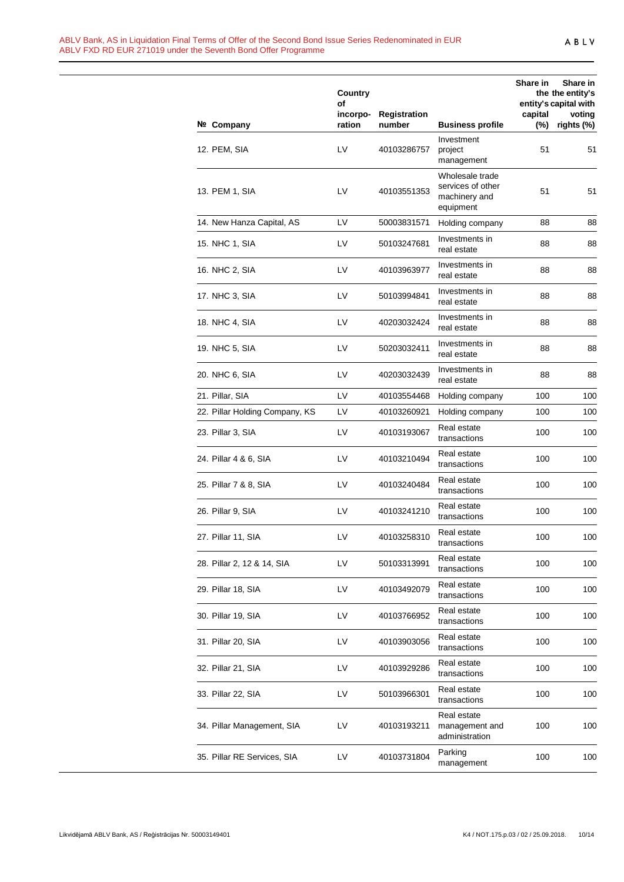|                                | Country<br>οf      |                        |                                                                    | Share in          | Share in<br>the the entity's<br>entity's capital with |
|--------------------------------|--------------------|------------------------|--------------------------------------------------------------------|-------------------|-------------------------------------------------------|
| Nº Company                     | incorpo-<br>ration | Registration<br>number | <b>Business profile</b>                                            | capital<br>$(\%)$ | voting<br>rights (%)                                  |
| 12. PEM, SIA                   | LV                 | 40103286757            | Investment<br>project<br>management                                | 51                | 51                                                    |
| 13. PEM 1, SIA                 | LV                 | 40103551353            | Wholesale trade<br>services of other<br>machinery and<br>equipment | 51                | 51                                                    |
| 14. New Hanza Capital, AS      | LV                 | 50003831571            | Holding company                                                    | 88                | 88                                                    |
| 15. NHC 1, SIA                 | LV                 | 50103247681            | Investments in<br>real estate                                      | 88                | 88                                                    |
| 16. NHC 2, SIA                 | LV                 | 40103963977            | Investments in<br>real estate                                      | 88                | 88                                                    |
| 17. NHC 3, SIA                 | LV                 | 50103994841            | Investments in<br>real estate                                      | 88                | 88                                                    |
| 18. NHC 4, SIA                 | LV                 | 40203032424            | Investments in<br>real estate                                      | 88                | 88                                                    |
| 19. NHC 5, SIA                 | LV                 | 50203032411            | Investments in<br>real estate                                      | 88                | 88                                                    |
| 20. NHC 6, SIA                 | LV                 | 40203032439            | Investments in<br>real estate                                      | 88                | 88                                                    |
| 21. Pillar, SIA                | LV                 | 40103554468            | Holding company                                                    | 100               | 100                                                   |
| 22. Pillar Holding Company, KS | LV                 | 40103260921            | Holding company                                                    | 100               | 100                                                   |
| 23. Pillar 3, SIA              | LV                 | 40103193067            | Real estate<br>transactions                                        | 100               | 100                                                   |
| 24. Pillar 4 & 6, SIA          | LV                 | 40103210494            | Real estate<br>transactions                                        | 100               | 100                                                   |
| 25. Pillar 7 & 8, SIA          | LV                 | 40103240484            | Real estate<br>transactions                                        | 100               | 100                                                   |
| 26. Pillar 9, SIA              | LV                 | 40103241210            | Real estate<br>transactions                                        | 100               | 100                                                   |
| 27. Pillar 11, SIA             | LV                 | 40103258310            | Real estate<br>transactions                                        | 100               | 100                                                   |
| 28. Pillar 2, 12 & 14, SIA     | LV                 | 50103313991            | Real estate<br>transactions                                        | 100               | 100                                                   |
| 29. Pillar 18, SIA             | LV                 | 40103492079            | Real estate<br>transactions                                        | 100               | 100                                                   |
| 30. Pillar 19, SIA             | LV                 | 40103766952            | Real estate<br>transactions                                        | 100               | 100                                                   |
| 31. Pillar 20, SIA             | LV                 | 40103903056            | Real estate<br>transactions                                        | 100               | 100                                                   |
| 32. Pillar 21, SIA             | LV                 | 40103929286            | Real estate<br>transactions                                        | 100               | 100                                                   |
| 33. Pillar 22, SIA             | LV                 | 50103966301            | Real estate<br>transactions                                        | 100               | 100                                                   |
| 34. Pillar Management, SIA     | LV                 | 40103193211            | Real estate<br>management and<br>administration                    | 100               | 100                                                   |
| 35. Pillar RE Services, SIA    | LV                 | 40103731804            | Parking<br>management                                              | 100               | 100                                                   |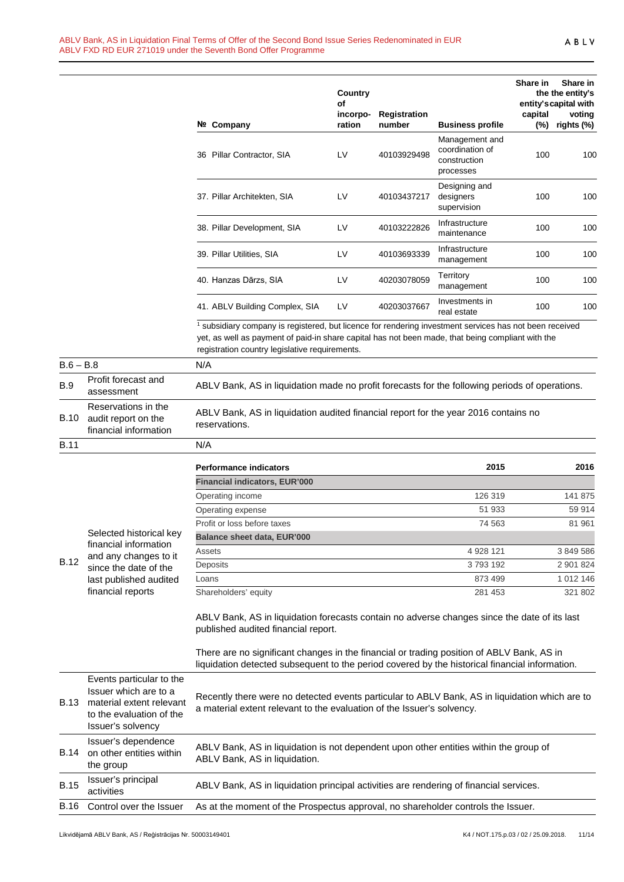|             |                                                                     | Nº Company                                                                                                                                                                                                                                                                | Country<br>οf<br>incorpo-<br>ration | Registration<br>number | <b>Business profile</b>                                        | Share in<br>capital<br>$(\%)$ | Share in<br>the the entity's<br>entity's capital with<br>voting<br>rights (%) |
|-------------|---------------------------------------------------------------------|---------------------------------------------------------------------------------------------------------------------------------------------------------------------------------------------------------------------------------------------------------------------------|-------------------------------------|------------------------|----------------------------------------------------------------|-------------------------------|-------------------------------------------------------------------------------|
|             |                                                                     | 36 Pillar Contractor, SIA                                                                                                                                                                                                                                                 | LV                                  | 40103929498            | Management and<br>coordination of<br>construction<br>processes | 100                           | 100                                                                           |
|             |                                                                     | 37. Pillar Architekten, SIA                                                                                                                                                                                                                                               | LV                                  | 40103437217            | Designing and<br>designers<br>supervision                      | 100                           | 100                                                                           |
|             |                                                                     | 38. Pillar Development, SIA                                                                                                                                                                                                                                               | LV                                  | 40103222826            | Infrastructure<br>maintenance                                  | 100                           | 100                                                                           |
|             |                                                                     | 39. Pillar Utilities, SIA                                                                                                                                                                                                                                                 | LV                                  | 40103693339            | Infrastructure<br>management                                   | 100                           | 100                                                                           |
|             |                                                                     | 40. Hanzas Dārzs, SIA                                                                                                                                                                                                                                                     | LV                                  | 40203078059            | Territory<br>management                                        | 100                           | 100                                                                           |
|             |                                                                     | 41. ABLV Building Complex, SIA                                                                                                                                                                                                                                            | LV                                  | 40203037667            | Investments in<br>real estate                                  | 100                           | 100                                                                           |
|             |                                                                     | <sup>1</sup> subsidiary company is registered, but licence for rendering investment services has not been received<br>yet, as well as payment of paid-in share capital has not been made, that being compliant with the<br>registration country legislative requirements. |                                     |                        |                                                                |                               |                                                                               |
| $B.6 - B.8$ |                                                                     | N/A                                                                                                                                                                                                                                                                       |                                     |                        |                                                                |                               |                                                                               |
| <b>B.9</b>  | Profit forecast and<br>assessment                                   | ABLV Bank, AS in liquidation made no profit forecasts for the following periods of operations.                                                                                                                                                                            |                                     |                        |                                                                |                               |                                                                               |
| <b>B.10</b> | Reservations in the<br>audit report on the<br>financial information | ABLV Bank, AS in liquidation audited financial report for the year 2016 contains no<br>reservations.                                                                                                                                                                      |                                     |                        |                                                                |                               |                                                                               |
| <b>B.11</b> |                                                                     | N/A                                                                                                                                                                                                                                                                       |                                     |                        |                                                                |                               |                                                                               |
|             |                                                                     | <b>Performance indicators</b>                                                                                                                                                                                                                                             |                                     |                        | 2015                                                           |                               | 2016                                                                          |
|             |                                                                     | <b>Financial indicators, EUR'000</b>                                                                                                                                                                                                                                      |                                     |                        |                                                                |                               |                                                                               |
|             |                                                                     | Operating income                                                                                                                                                                                                                                                          |                                     |                        | 126 319                                                        |                               | 141 875                                                                       |
|             |                                                                     | Operating expense                                                                                                                                                                                                                                                         |                                     |                        | 51 933                                                         |                               | 59 914                                                                        |
|             | Soloctod bietorical kov                                             | Profit or loss before taxes                                                                                                                                                                                                                                               |                                     |                        | 74 563                                                         |                               | 81 961                                                                        |
|             |                                                                     |                                                                                                                                                                                                                                                                           |                                     |                        |                                                                |                               |                                                                               |

B.12 and any changes to it Selected historical key financial information since the date of the last published audited financial reports **Balance sheet data, EUR'000** Assets 4928 121 3 849 586 Deposits 3 793 192 2 901 824 Loans 873 499 1 012 146 Shareholders' equity 281 453 321 802

ABLV Bank, AS in liquidation forecasts contain no adverse changes since the date of its last published audited financial report.

There are no significant changes in the financial or trading position of ABLV Bank, AS in liquidation detected subsequent to the period covered by the historical financial information.

| <b>B.13</b> | Events particular to the<br>Issuer which are to a<br>material extent relevant<br>to the evaluation of the<br>Issuer's solvency | Recently there were no detected events particular to ABLV Bank, AS in liquidation which are to<br>a material extent relevant to the evaluation of the Issuer's solvency. |
|-------------|--------------------------------------------------------------------------------------------------------------------------------|--------------------------------------------------------------------------------------------------------------------------------------------------------------------------|
| <b>B.14</b> | Issuer's dependence<br>on other entities within<br>the group                                                                   | ABLV Bank, AS in liquidation is not dependent upon other entities within the group of<br>ABLV Bank, AS in liquidation.                                                   |
| <b>B.15</b> | Issuer's principal<br>activities                                                                                               | ABLV Bank, AS in liquidation principal activities are rendering of financial services.                                                                                   |
| <b>B.16</b> | Control over the Issuer                                                                                                        | As at the moment of the Prospectus approval, no shareholder controls the Issuer.                                                                                         |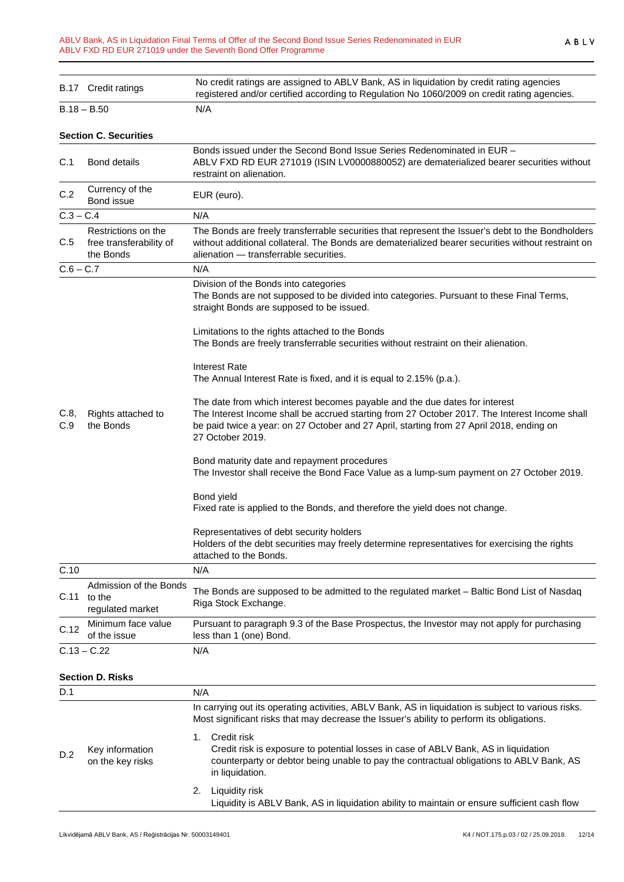|             | B.17 Credit ratings                                                                                                                                                        | No credit ratings are assigned to ABLV Bank, AS in liquidation by credit rating agencies<br>registered and/or certified according to Regulation No 1060/2009 on credit rating agencies.                                                                                                      |
|-------------|----------------------------------------------------------------------------------------------------------------------------------------------------------------------------|----------------------------------------------------------------------------------------------------------------------------------------------------------------------------------------------------------------------------------------------------------------------------------------------|
|             | B.18 – B.50                                                                                                                                                                | N/A                                                                                                                                                                                                                                                                                          |
|             | <b>Section C. Securities</b>                                                                                                                                               |                                                                                                                                                                                                                                                                                              |
| C.1         | <b>Bond details</b>                                                                                                                                                        | Bonds issued under the Second Bond Issue Series Redenominated in EUR -<br>ABLV FXD RD EUR 271019 (ISIN LV0000880052) are dematerialized bearer securities without<br>restraint on alienation.                                                                                                |
| C.2         | Currency of the<br>Bond issue                                                                                                                                              | EUR (euro).                                                                                                                                                                                                                                                                                  |
| $C.3 - C.4$ |                                                                                                                                                                            | N/A                                                                                                                                                                                                                                                                                          |
| C.5         | Restrictions on the<br>free transferability of<br>the Bonds                                                                                                                | The Bonds are freely transferrable securities that represent the Issuer's debt to the Bondholders<br>without additional collateral. The Bonds are dematerialized bearer securities without restraint on<br>alienation - transferrable securities.                                            |
| C.6 – C.7   |                                                                                                                                                                            | N/A                                                                                                                                                                                                                                                                                          |
|             |                                                                                                                                                                            | Division of the Bonds into categories<br>The Bonds are not supposed to be divided into categories. Pursuant to these Final Terms,<br>straight Bonds are supposed to be issued.                                                                                                               |
|             |                                                                                                                                                                            | Limitations to the rights attached to the Bonds<br>The Bonds are freely transferrable securities without restraint on their alienation.                                                                                                                                                      |
|             |                                                                                                                                                                            | <b>Interest Rate</b><br>The Annual Interest Rate is fixed, and it is equal to 2.15% (p.a.).                                                                                                                                                                                                  |
| C.8,<br>C.9 | Rights attached to<br>the Bonds                                                                                                                                            | The date from which interest becomes payable and the due dates for interest<br>The Interest Income shall be accrued starting from 27 October 2017. The Interest Income shall<br>be paid twice a year: on 27 October and 27 April, starting from 27 April 2018, ending on<br>27 October 2019. |
|             |                                                                                                                                                                            | Bond maturity date and repayment procedures<br>The Investor shall receive the Bond Face Value as a lump-sum payment on 27 October 2019.                                                                                                                                                      |
|             |                                                                                                                                                                            | Bond yield<br>Fixed rate is applied to the Bonds, and therefore the yield does not change.                                                                                                                                                                                                   |
|             |                                                                                                                                                                            | Representatives of debt security holders<br>Holders of the debt securities may freely determine representatives for exercising the rights<br>attached to the Bonds.                                                                                                                          |
| C.10        |                                                                                                                                                                            | N/A                                                                                                                                                                                                                                                                                          |
| C.11        | Admission of the Bonds<br>The Bonds are supposed to be admitted to the regulated market - Baltic Bond List of Nasdaq<br>to the<br>Riga Stock Exchange.<br>regulated market |                                                                                                                                                                                                                                                                                              |
| C.12        | Minimum face value<br>Pursuant to paragraph 9.3 of the Base Prospectus, the Investor may not apply for purchasing<br>less than 1 (one) Bond.<br>of the issue               |                                                                                                                                                                                                                                                                                              |
|             | $C.13 - C.22$                                                                                                                                                              | N/A                                                                                                                                                                                                                                                                                          |
|             |                                                                                                                                                                            |                                                                                                                                                                                                                                                                                              |

# **Section D. Risks**

| D.1 |                                     | N/A<br>In carrying out its operating activities, ABLV Bank, AS in liquidation is subject to various risks.<br>Most significant risks that may decrease the Issuer's ability to perform its obligations.          |  |  |
|-----|-------------------------------------|------------------------------------------------------------------------------------------------------------------------------------------------------------------------------------------------------------------|--|--|
|     | Key information<br>on the key risks |                                                                                                                                                                                                                  |  |  |
| D.2 |                                     | Credit risk<br>Credit risk is exposure to potential losses in case of ABLV Bank, AS in liquidation<br>counterparty or debtor being unable to pay the contractual obligations to ABLV Bank, AS<br>in liquidation. |  |  |
|     |                                     | Liquidity risk<br>2.<br>Liquidity is ABLV Bank, AS in liquidation ability to maintain or ensure sufficient cash flow                                                                                             |  |  |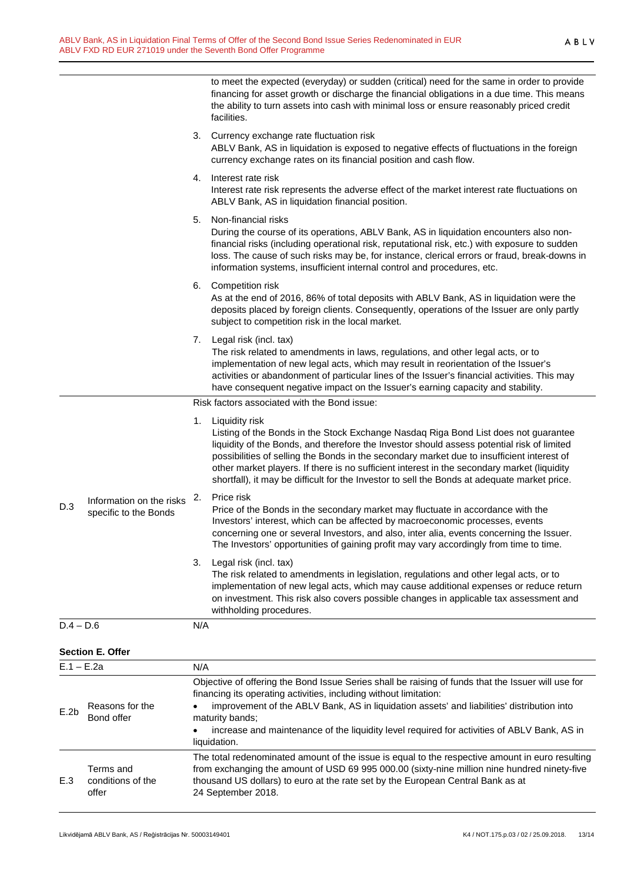to meet the expected (everyday) or sudden (critical) need for the same in order to provide financing for asset growth or discharge the financial obligations in a due time. This means the ability to turn assets into cash with minimal loss or ensure reasonably priced credit facilities.

|              |                                                   |     | 3. Currency exchange rate fluctuation risk<br>ABLV Bank, AS in liquidation is exposed to negative effects of fluctuations in the foreign<br>currency exchange rates on its financial position and cash flow.                                                                                                                                                                                                                                                                                        |
|--------------|---------------------------------------------------|-----|-----------------------------------------------------------------------------------------------------------------------------------------------------------------------------------------------------------------------------------------------------------------------------------------------------------------------------------------------------------------------------------------------------------------------------------------------------------------------------------------------------|
|              |                                                   |     | 4. Interest rate risk<br>Interest rate risk represents the adverse effect of the market interest rate fluctuations on<br>ABLV Bank, AS in liquidation financial position.                                                                                                                                                                                                                                                                                                                           |
|              |                                                   | 5.  | Non-financial risks<br>During the course of its operations, ABLV Bank, AS in liquidation encounters also non-<br>financial risks (including operational risk, reputational risk, etc.) with exposure to sudden<br>loss. The cause of such risks may be, for instance, clerical errors or fraud, break-downs in<br>information systems, insufficient internal control and procedures, etc.                                                                                                           |
|              |                                                   |     | 6. Competition risk<br>As at the end of 2016, 86% of total deposits with ABLV Bank, AS in liquidation were the<br>deposits placed by foreign clients. Consequently, operations of the Issuer are only partly<br>subject to competition risk in the local market.                                                                                                                                                                                                                                    |
|              |                                                   |     | 7. Legal risk (incl. tax)<br>The risk related to amendments in laws, regulations, and other legal acts, or to<br>implementation of new legal acts, which may result in reorientation of the Issuer's<br>activities or abandonment of particular lines of the Issuer's financial activities. This may<br>have consequent negative impact on the Issuer's earning capacity and stability.                                                                                                             |
|              |                                                   |     | Risk factors associated with the Bond issue:                                                                                                                                                                                                                                                                                                                                                                                                                                                        |
|              |                                                   |     | 1. Liquidity risk<br>Listing of the Bonds in the Stock Exchange Nasdaq Riga Bond List does not guarantee<br>liquidity of the Bonds, and therefore the Investor should assess potential risk of limited<br>possibilities of selling the Bonds in the secondary market due to insufficient interest of<br>other market players. If there is no sufficient interest in the secondary market (liquidity<br>shortfall), it may be difficult for the Investor to sell the Bonds at adequate market price. |
| D.3          | Information on the risks<br>specific to the Bonds | 2.  | Price risk<br>Price of the Bonds in the secondary market may fluctuate in accordance with the<br>Investors' interest, which can be affected by macroeconomic processes, events<br>concerning one or several Investors, and also, inter alia, events concerning the Issuer.<br>The Investors' opportunities of gaining profit may vary accordingly from time to time.                                                                                                                                |
|              |                                                   | 3.  | Legal risk (incl. tax)<br>The risk related to amendments in legislation, regulations and other legal acts, or to<br>implementation of new legal acts, which may cause additional expenses or reduce return<br>on investment. This risk also covers possible changes in applicable tax assessment and<br>withholding procedures.                                                                                                                                                                     |
| $D.4 - D.6$  |                                                   | N/A |                                                                                                                                                                                                                                                                                                                                                                                                                                                                                                     |
|              | <b>Section E. Offer</b>                           |     |                                                                                                                                                                                                                                                                                                                                                                                                                                                                                                     |
| $E.1 - E.2a$ |                                                   | N/A |                                                                                                                                                                                                                                                                                                                                                                                                                                                                                                     |
| E.2b         | Reasons for the<br>Bond offer                     |     | Objective of offering the Bond Issue Series shall be raising of funds that the Issuer will use for<br>financing its operating activities, including without limitation:<br>improvement of the ABLV Bank, AS in liquidation assets' and liabilities' distribution into                                                                                                                                                                                                                               |
|              |                                                   |     | maturity bands;<br>increase and maintenance of the liquidity level required for activities of ABLV Bank, AS in<br>liquidation.                                                                                                                                                                                                                                                                                                                                                                      |
|              | Terms and                                         |     | The total redenominated amount of the issue is equal to the respective amount in euro resulting<br>from exchanging the amount of USD 69 995 000.00 (sixty-nine million nine hundred ninety-five                                                                                                                                                                                                                                                                                                     |

thousand US dollars) to euro at the rate set by the European Central Bank as at

conditions of the

E.3